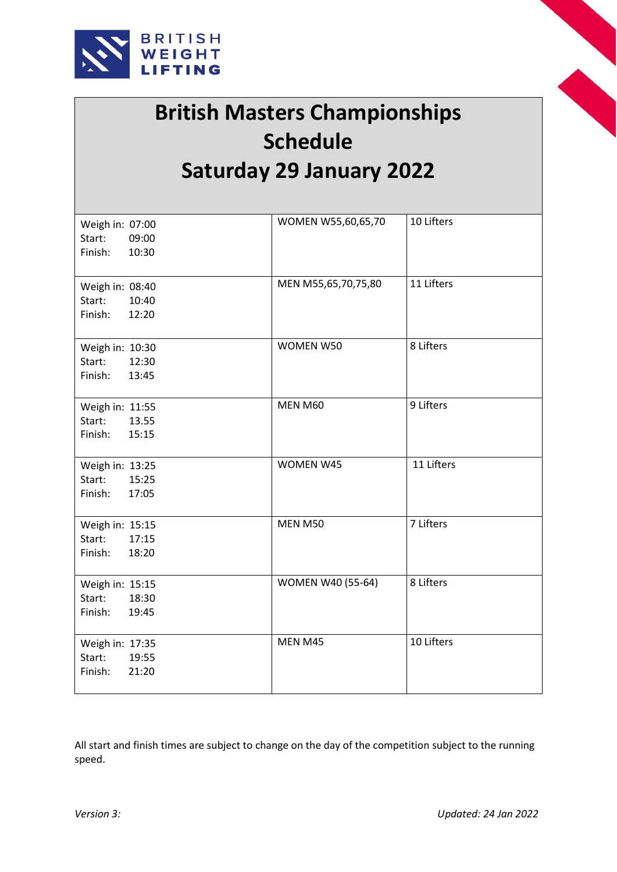



## **British Masters Championships Schedule Saturday 29 January 2022**

| Weigh in: 07:00  | WOMEN W55,60,65,70       | 10 Lifters |
|------------------|--------------------------|------------|
| Start:<br>09:00  |                          |            |
|                  |                          |            |
| Finish:<br>10:30 |                          |            |
|                  |                          |            |
| Weigh in: 08:40  | MEN M55,65,70,75,80      | 11 Lifters |
|                  |                          |            |
| Start:<br>10:40  |                          |            |
| Finish:<br>12:20 |                          |            |
|                  |                          |            |
| Weigh in: 10:30  | WOMEN W50                | 8 Lifters  |
| Start:<br>12:30  |                          |            |
| Finish:<br>13:45 |                          |            |
|                  |                          |            |
|                  |                          |            |
| Weigh in: 11:55  | MEN M60                  | 9 Lifters  |
| Start:<br>13.55  |                          |            |
| Finish:<br>15:15 |                          |            |
|                  |                          |            |
|                  | WOMEN W45                | 11 Lifters |
| Weigh in: 13:25  |                          |            |
| 15:25<br>Start:  |                          |            |
| Finish:<br>17:05 |                          |            |
|                  |                          |            |
| Weigh in: 15:15  | MEN M50                  | 7 Lifters  |
| 17:15<br>Start:  |                          |            |
| Finish:<br>18:20 |                          |            |
|                  |                          |            |
|                  |                          |            |
| Weigh in: 15:15  | <b>WOMEN W40 (55-64)</b> | 8 Lifters  |
| Start:<br>18:30  |                          |            |
| Finish:<br>19:45 |                          |            |
|                  |                          |            |
| Weigh in: 17:35  | MEN M45                  | 10 Lifters |
| Start:<br>19:55  |                          |            |
|                  |                          |            |
| 21:20<br>Finish: |                          |            |
|                  |                          |            |

All start and finish times are subject to change on the day of the competition subject to the running speed.